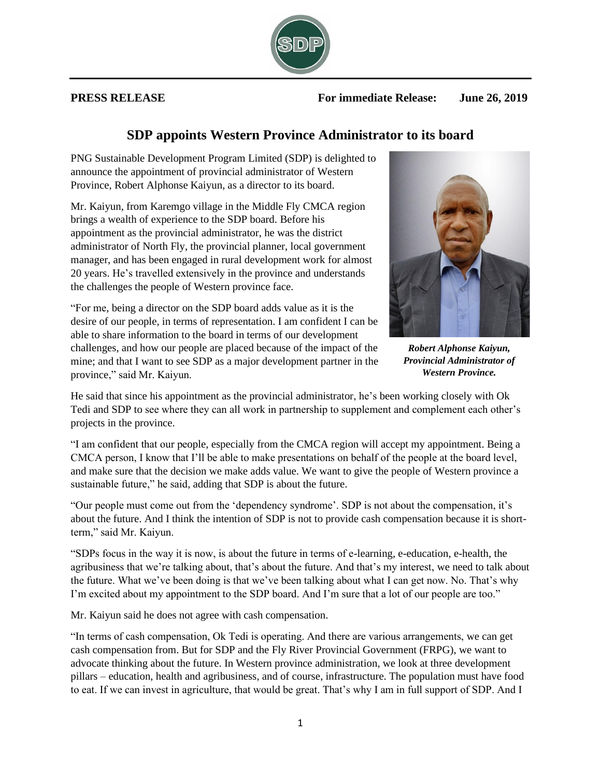## **SDP appoints Western Province Administrator to its board**

PNG Sustainable Development Program Limited (SDP) is delighted to announce the appointment of provincial administrator of Western Province, Robert Alphonse Kaiyun, as a director to its board.

Mr. Kaiyun, from Karemgo village in the Middle Fly CMCA region brings a wealth of experience to the SDP board. Before his appointment as the provincial administrator, he was the district administrator of North Fly, the provincial planner, local government manager, and has been engaged in rural development work for almost 20 years. He's travelled extensively in the province and understands the challenges the people of Western province face.

"For me, being a director on the SDP board adds value as it is the desire of our people, in terms of representation. I am confident I can be able to share information to the board in terms of our development challenges, and how our people are placed because of the impact of the mine; and that I want to see SDP as a major development partner in the province," said Mr. Kaiyun.

He said that since his appointment as the provincial administrator, he's been working closely with Ok Tedi and SDP to see where they can all work in partnership to supplement and complement each other's projects in the province.

"I am confident that our people, especially from the CMCA region will accept my appointment. Being a CMCA person, I know that I'll be able to make presentations on behalf of the people at the board level, and make sure that the decision we make adds value. We want to give the people of Western province a sustainable future," he said, adding that SDP is about the future.

"Our people must come out from the 'dependency syndrome'. SDP is not about the compensation, it's about the future. And I think the intention of SDP is not to provide cash compensation because it is shortterm," said Mr. Kaiyun.

"SDPs focus in the way it is now, is about the future in terms of e-learning, e-education, e-health, the agribusiness that we're talking about, that's about the future. And that's my interest, we need to talk about the future. What we've been doing is that we've been talking about what I can get now. No. That's why I'm excited about my appointment to the SDP board. And I'm sure that a lot of our people are too."

Mr. Kaiyun said he does not agree with cash compensation.

"In terms of cash compensation, Ok Tedi is operating. And there are various arrangements, we can get cash compensation from. But for SDP and the Fly River Provincial Government (FRPG), we want to advocate thinking about the future. In Western province administration, we look at three development pillars – education, health and agribusiness, and of course, infrastructure. The population must have food to eat. If we can invest in agriculture, that would be great. That's why I am in full support of SDP. And I

*Robert Alphonse Kaiyun, Provincial Administrator of Western Province.*



**PRESS RELEASE For immediate Release: June 26, 2019**